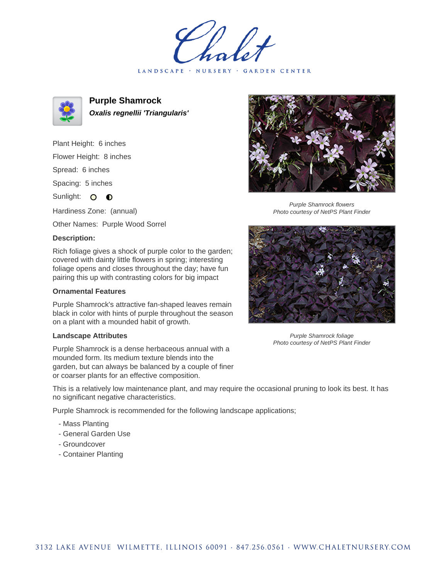LANDSCAPE · NURSERY · GARDEN CENTER



**Purple Shamrock Oxalis regnellii 'Triangularis'**

Plant Height: 6 inches Flower Height: 8 inches Spread: 6 inches Spacing: 5 inches Sunlight: O **O** Hardiness Zone: (annual)

Other Names: Purple Wood Sorrel

## **Description:**

Rich foliage gives a shock of purple color to the garden; covered with dainty little flowers in spring; interesting foliage opens and closes throughout the day; have fun pairing this up with contrasting colors for big impact

## **Ornamental Features**

Purple Shamrock's attractive fan-shaped leaves remain black in color with hints of purple throughout the season on a plant with a mounded habit of growth.

## **Landscape Attributes**

Purple Shamrock is a dense herbaceous annual with a mounded form. Its medium texture blends into the garden, but can always be balanced by a couple of finer or coarser plants for an effective composition.

This is a relatively low maintenance plant, and may require the occasional pruning to look its best. It has no significant negative characteristics.

Purple Shamrock is recommended for the following landscape applications;

- Mass Planting
- General Garden Use
- Groundcover
- Container Planting



Purple Shamrock flowers Photo courtesy of NetPS Plant Finder



Purple Shamrock foliage Photo courtesy of NetPS Plant Finder